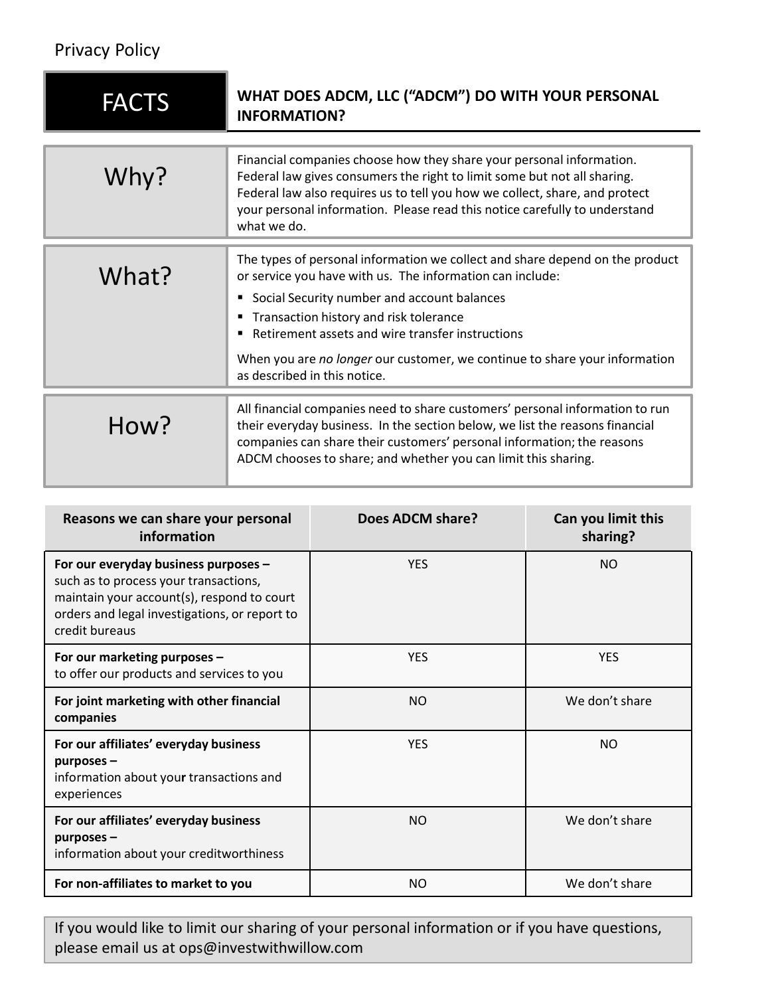## Privacy Policy

| <b>Privacy Policy</b>                                                                                                                                                                          |                                                                                                                                                                                                                                                                                                                                                                                                                          |                  |                                |  |
|------------------------------------------------------------------------------------------------------------------------------------------------------------------------------------------------|--------------------------------------------------------------------------------------------------------------------------------------------------------------------------------------------------------------------------------------------------------------------------------------------------------------------------------------------------------------------------------------------------------------------------|------------------|--------------------------------|--|
| <b>FACTS</b>                                                                                                                                                                                   | WHAT DOES ADCM, LLC ("ADCM") DO WITH YOUR PERSONAL<br><b>INFORMATION?</b>                                                                                                                                                                                                                                                                                                                                                |                  |                                |  |
| Why?                                                                                                                                                                                           | Financial companies choose how they share your personal information.<br>Federal law gives consumers the right to limit some but not all sharing.<br>Federal law also requires us to tell you how we collect, share, and protect<br>your personal information. Please read this notice carefully to understand<br>what we do.                                                                                             |                  |                                |  |
| What?                                                                                                                                                                                          | The types of personal information we collect and share depend on the product<br>or service you have with us. The information can include:<br>Social Security number and account balances<br>" Transaction history and risk tolerance<br>Retirement assets and wire transfer instructions<br>$\blacksquare$<br>When you are no longer our customer, we continue to share your information<br>as described in this notice. |                  |                                |  |
| How?                                                                                                                                                                                           | All financial companies need to share customers' personal information to run<br>their everyday business. In the section below, we list the reasons financial<br>companies can share their customers' personal information; the reasons<br>ADCM chooses to share; and whether you can limit this sharing.                                                                                                                 |                  |                                |  |
| Reasons we can share your personal<br>information                                                                                                                                              |                                                                                                                                                                                                                                                                                                                                                                                                                          | Does ADCM share? | Can you limit this<br>sharing? |  |
| For our everyday business purposes -<br>such as to process your transactions,<br>maintain your account(s), respond to court<br>orders and legal investigations, or report to<br>credit bureaus |                                                                                                                                                                                                                                                                                                                                                                                                                          | <b>YES</b>       | <b>NO</b>                      |  |
| For our marketing nurnoses -                                                                                                                                                                   |                                                                                                                                                                                                                                                                                                                                                                                                                          | <b>VFS</b>       | <b>VFS</b>                     |  |

|                                                                                                                                                                                                | When you are no longer our customer, we continue to share your information<br>as described in this notice. |                                                                                                                                                                                                                                                                                                          |                                |  |  |
|------------------------------------------------------------------------------------------------------------------------------------------------------------------------------------------------|------------------------------------------------------------------------------------------------------------|----------------------------------------------------------------------------------------------------------------------------------------------------------------------------------------------------------------------------------------------------------------------------------------------------------|--------------------------------|--|--|
| How?                                                                                                                                                                                           |                                                                                                            | All financial companies need to share customers' personal information to run<br>their everyday business. In the section below, we list the reasons financial<br>companies can share their customers' personal information; the reasons<br>ADCM chooses to share; and whether you can limit this sharing. |                                |  |  |
| Reasons we can share your personal<br>information                                                                                                                                              |                                                                                                            | Does ADCM share?                                                                                                                                                                                                                                                                                         | Can you limit this<br>sharing? |  |  |
| For our everyday business purposes -<br>such as to process your transactions,<br>maintain your account(s), respond to court<br>orders and legal investigations, or report to<br>credit bureaus |                                                                                                            | <b>YES</b>                                                                                                                                                                                                                                                                                               | <b>NO</b>                      |  |  |
| For our marketing purposes -<br>to offer our products and services to you                                                                                                                      |                                                                                                            | <b>YES</b>                                                                                                                                                                                                                                                                                               | <b>YES</b>                     |  |  |
| For joint marketing with other financial<br>companies                                                                                                                                          |                                                                                                            | <b>NO</b>                                                                                                                                                                                                                                                                                                | We don't share                 |  |  |
| For our affiliates' everyday business<br>purposes -<br>information about your transactions and<br>experiences                                                                                  |                                                                                                            | <b>YES</b>                                                                                                                                                                                                                                                                                               | <b>NO</b>                      |  |  |
| For our affiliates' everyday business<br>purposes-<br>information about your creditworthiness                                                                                                  |                                                                                                            | <b>NO</b>                                                                                                                                                                                                                                                                                                | We don't share                 |  |  |
| For non-affiliates to market to you                                                                                                                                                            |                                                                                                            | <b>NO</b>                                                                                                                                                                                                                                                                                                | We don't share                 |  |  |
| please email us at ops@investwithwillow.com                                                                                                                                                    |                                                                                                            | If you would like to limit our sharing of your personal information or if you have questions,                                                                                                                                                                                                            |                                |  |  |